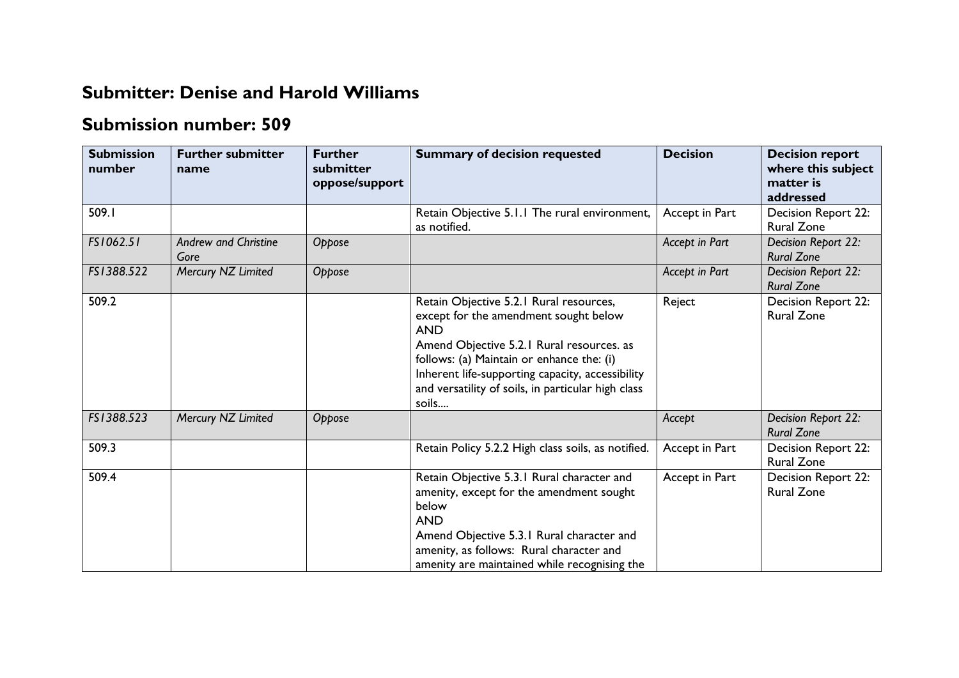## **Submitter: Denise and Harold Williams**

## **Submission number: 509**

| <b>Submission</b><br>number | <b>Further submitter</b><br>name    | <b>Further</b><br>submitter<br>oppose/support | <b>Summary of decision requested</b>                                                                                                                                                                                                                                                                        | <b>Decision</b> | <b>Decision report</b><br>where this subject<br>matter is<br>addressed |
|-----------------------------|-------------------------------------|-----------------------------------------------|-------------------------------------------------------------------------------------------------------------------------------------------------------------------------------------------------------------------------------------------------------------------------------------------------------------|-----------------|------------------------------------------------------------------------|
| 509.I                       |                                     |                                               | Retain Objective 5.1.1 The rural environment,<br>as notified.                                                                                                                                                                                                                                               | Accept in Part  | Decision Report 22:<br><b>Rural Zone</b>                               |
| FS1062.51                   | <b>Andrew and Christine</b><br>Gore | Oppose                                        |                                                                                                                                                                                                                                                                                                             | Accept in Part  | Decision Report 22:<br><b>Rural Zone</b>                               |
| FS1388.522                  | Mercury NZ Limited                  | Oppose                                        |                                                                                                                                                                                                                                                                                                             | Accept in Part  | Decision Report 22:<br><b>Rural Zone</b>                               |
| 509.2                       |                                     |                                               | Retain Objective 5.2.1 Rural resources,<br>except for the amendment sought below<br><b>AND</b><br>Amend Objective 5.2.1 Rural resources. as<br>follows: (a) Maintain or enhance the: (i)<br>Inherent life-supporting capacity, accessibility<br>and versatility of soils, in particular high class<br>soils | Reject          | Decision Report 22:<br><b>Rural Zone</b>                               |
| FS1388.523                  | Mercury NZ Limited                  | Oppose                                        |                                                                                                                                                                                                                                                                                                             | Accept          | Decision Report 22:<br><b>Rural Zone</b>                               |
| 509.3                       |                                     |                                               | Retain Policy 5.2.2 High class soils, as notified.                                                                                                                                                                                                                                                          | Accept in Part  | Decision Report 22:<br><b>Rural Zone</b>                               |
| 509.4                       |                                     |                                               | Retain Objective 5.3.1 Rural character and<br>amenity, except for the amendment sought<br>below<br><b>AND</b><br>Amend Objective 5.3.1 Rural character and<br>amenity, as follows: Rural character and<br>amenity are maintained while recognising the                                                      | Accept in Part  | Decision Report 22:<br><b>Rural Zone</b>                               |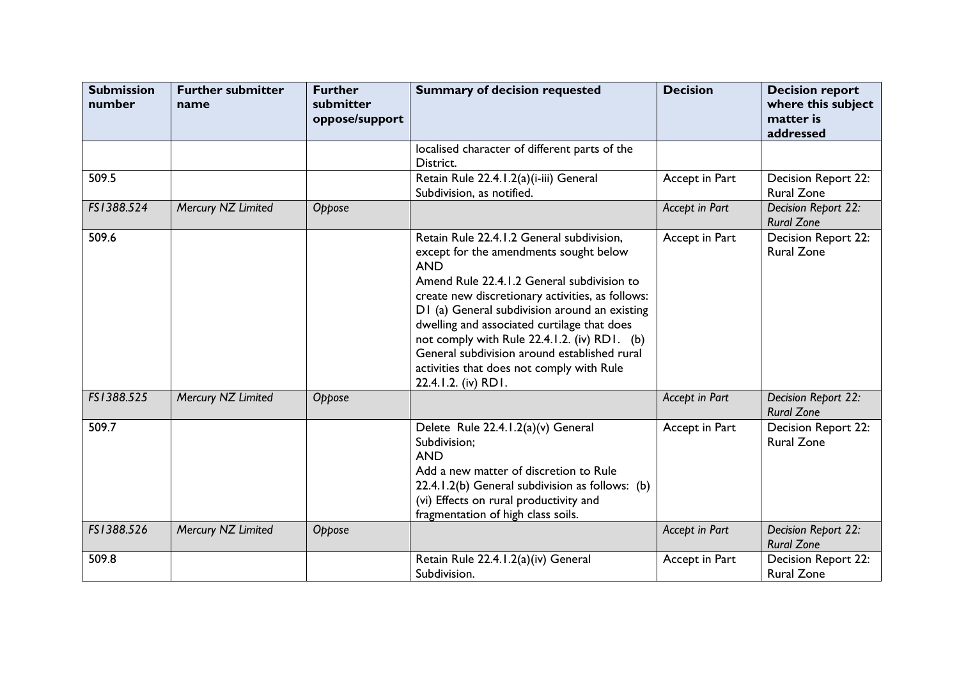| <b>Submission</b><br>number | <b>Further submitter</b><br>name | <b>Further</b><br>submitter<br>oppose/support | <b>Summary of decision requested</b>                                                                                                                                                                                                                                                                                                                                                                                                                                    | <b>Decision</b> | <b>Decision report</b><br>where this subject<br>matter is<br>addressed |
|-----------------------------|----------------------------------|-----------------------------------------------|-------------------------------------------------------------------------------------------------------------------------------------------------------------------------------------------------------------------------------------------------------------------------------------------------------------------------------------------------------------------------------------------------------------------------------------------------------------------------|-----------------|------------------------------------------------------------------------|
|                             |                                  |                                               | localised character of different parts of the<br>District.                                                                                                                                                                                                                                                                                                                                                                                                              |                 |                                                                        |
| 509.5                       |                                  |                                               | Retain Rule 22.4.1.2(a)(i-iii) General<br>Subdivision, as notified.                                                                                                                                                                                                                                                                                                                                                                                                     | Accept in Part  | Decision Report 22:<br><b>Rural Zone</b>                               |
| FS1388.524                  | Mercury NZ Limited               | Oppose                                        |                                                                                                                                                                                                                                                                                                                                                                                                                                                                         | Accept in Part  | Decision Report 22:<br><b>Rural Zone</b>                               |
| 509.6                       |                                  |                                               | Retain Rule 22.4.1.2 General subdivision,<br>except for the amendments sought below<br><b>AND</b><br>Amend Rule 22.4.1.2 General subdivision to<br>create new discretionary activities, as follows:<br>D1 (a) General subdivision around an existing<br>dwelling and associated curtilage that does<br>not comply with Rule 22.4.1.2. (iv) RD1. (b)<br>General subdivision around established rural<br>activities that does not comply with Rule<br>22.4.1.2. (iv) RD1. | Accept in Part  | Decision Report 22:<br><b>Rural Zone</b>                               |
| FS1388.525                  | Mercury NZ Limited               | Oppose                                        |                                                                                                                                                                                                                                                                                                                                                                                                                                                                         | Accept in Part  | Decision Report 22:<br><b>Rural Zone</b>                               |
| 509.7                       |                                  |                                               | Delete Rule 22.4.1.2(a)(v) General<br>Subdivision;<br><b>AND</b><br>Add a new matter of discretion to Rule<br>22.4.1.2(b) General subdivision as follows: (b)<br>(vi) Effects on rural productivity and<br>fragmentation of high class soils.                                                                                                                                                                                                                           | Accept in Part  | Decision Report 22:<br><b>Rural Zone</b>                               |
| FS1388.526                  | Mercury NZ Limited               | Oppose                                        |                                                                                                                                                                                                                                                                                                                                                                                                                                                                         | Accept in Part  | Decision Report 22:<br><b>Rural Zone</b>                               |
| 509.8                       |                                  |                                               | Retain Rule 22.4.1.2(a)(iv) General<br>Subdivision.                                                                                                                                                                                                                                                                                                                                                                                                                     | Accept in Part  | Decision Report 22:<br><b>Rural Zone</b>                               |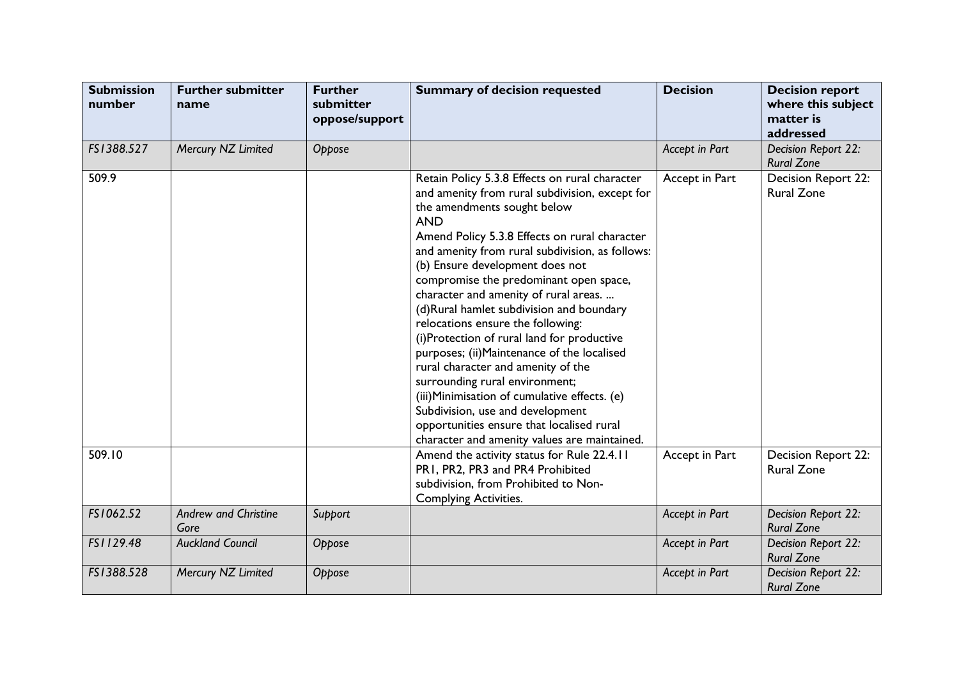| <b>Submission</b><br>number | <b>Further submitter</b><br>name    | <b>Further</b><br>submitter<br>oppose/support | <b>Summary of decision requested</b>                                                                                                                                                                                                                                                                                                                                                                                                                                                                                                                                                                                                                                                                                                                                                                            | <b>Decision</b> | <b>Decision report</b><br>where this subject<br>matter is<br>addressed |
|-----------------------------|-------------------------------------|-----------------------------------------------|-----------------------------------------------------------------------------------------------------------------------------------------------------------------------------------------------------------------------------------------------------------------------------------------------------------------------------------------------------------------------------------------------------------------------------------------------------------------------------------------------------------------------------------------------------------------------------------------------------------------------------------------------------------------------------------------------------------------------------------------------------------------------------------------------------------------|-----------------|------------------------------------------------------------------------|
| FS1388.527                  | Mercury NZ Limited                  | Oppose                                        |                                                                                                                                                                                                                                                                                                                                                                                                                                                                                                                                                                                                                                                                                                                                                                                                                 | Accept in Part  | Decision Report 22:<br><b>Rural Zone</b>                               |
| 509.9                       |                                     |                                               | Retain Policy 5.3.8 Effects on rural character<br>and amenity from rural subdivision, except for<br>the amendments sought below<br><b>AND</b><br>Amend Policy 5.3.8 Effects on rural character<br>and amenity from rural subdivision, as follows:<br>(b) Ensure development does not<br>compromise the predominant open space,<br>character and amenity of rural areas.<br>(d)Rural hamlet subdivision and boundary<br>relocations ensure the following:<br>(i)Protection of rural land for productive<br>purposes; (ii) Maintenance of the localised<br>rural character and amenity of the<br>surrounding rural environment;<br>(iii) Minimisation of cumulative effects. (e)<br>Subdivision, use and development<br>opportunities ensure that localised rural<br>character and amenity values are maintained. | Accept in Part  | Decision Report 22:<br><b>Rural Zone</b>                               |
| 509.10                      |                                     |                                               | Amend the activity status for Rule 22.4.11<br>PR1, PR2, PR3 and PR4 Prohibited<br>subdivision, from Prohibited to Non-<br><b>Complying Activities.</b>                                                                                                                                                                                                                                                                                                                                                                                                                                                                                                                                                                                                                                                          | Accept in Part  | <b>Decision Report 22:</b><br><b>Rural Zone</b>                        |
| FS1062.52                   | <b>Andrew and Christine</b><br>Gore | Support                                       |                                                                                                                                                                                                                                                                                                                                                                                                                                                                                                                                                                                                                                                                                                                                                                                                                 | Accept in Part  | Decision Report 22:<br><b>Rural Zone</b>                               |
| FS1129.48                   | <b>Auckland Council</b>             | Oppose                                        |                                                                                                                                                                                                                                                                                                                                                                                                                                                                                                                                                                                                                                                                                                                                                                                                                 | Accept in Part  | Decision Report 22:<br><b>Rural Zone</b>                               |
| FS1388.528                  | Mercury NZ Limited                  | Oppose                                        |                                                                                                                                                                                                                                                                                                                                                                                                                                                                                                                                                                                                                                                                                                                                                                                                                 | Accept in Part  | Decision Report 22:<br><b>Rural Zone</b>                               |